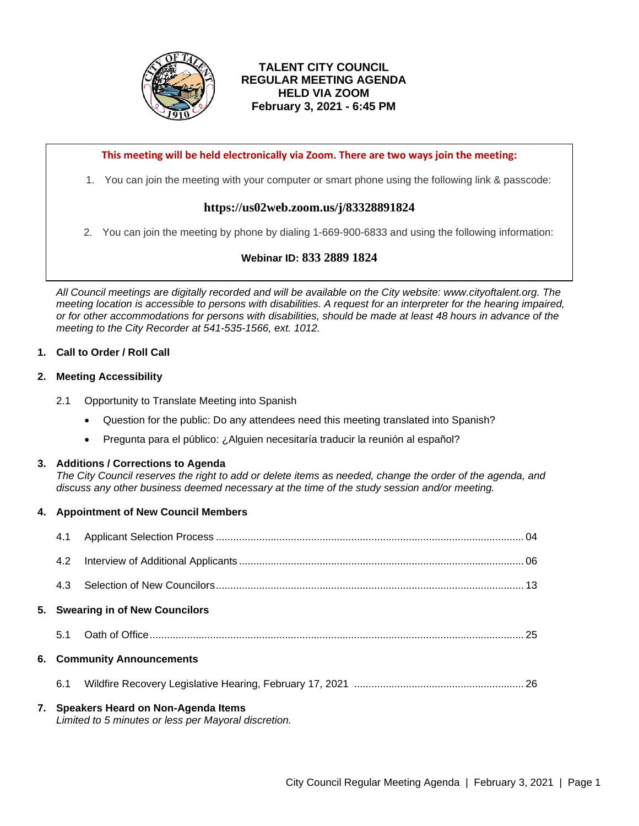

# **TALENT CITY COUNCIL REGULAR MEETING AGENDA HELD VIA ZOOM February 3, 2021 - 6:45 PM**

**This meeting will be held electronically via Zoom. There are two ways join the meeting:**

1. You can join the meeting with your computer or smart phone using the following link & passcode:

# **https://us02web.zoom.us/j/83328891824**

2. You can join the meeting by phone by dialing 1-669-900-6833 and using the following information:

# **Webinar ID: 833 2889 1824**

*All Council meetings are digitally recorded and will be available on the City website: www.cityoftalent.org. The meeting location is accessible to persons with disabilities. A request for an interpreter for the hearing impaired, or for other accommodations for persons with disabilities, should be made at least 48 hours in advance of the meeting to the City Recorder at 541-535-1566, ext. 1012.*

# **1. Call to Order / Roll Call**

# **2. Meeting Accessibility**

- 2.1 Opportunity to Translate Meeting into Spanish
	- Question for the public: Do any attendees need this meeting translated into Spanish?
	- Pregunta para el público: ¿Alguien necesitaría traducir la reunión al español?

# **3. Additions / Corrections to Agenda**

*The City Council reserves the right to add or delete items as needed, change the order of the agenda, and discuss any other business deemed necessary at the time of the study session and/or meeting.*

# **4. Appointment of New Council Members**

|     | 7. Speakers Heard on Non-Agenda Items<br>Limited to 5 minutes or less per Mayoral discretion. |  |  |
|-----|-----------------------------------------------------------------------------------------------|--|--|
| 6.1 |                                                                                               |  |  |
|     | <b>6. Community Announcements</b>                                                             |  |  |
| 5.1 |                                                                                               |  |  |
|     | 5. Swearing in of New Councilors                                                              |  |  |
| 4.3 |                                                                                               |  |  |
| 4.2 |                                                                                               |  |  |
| 4.1 |                                                                                               |  |  |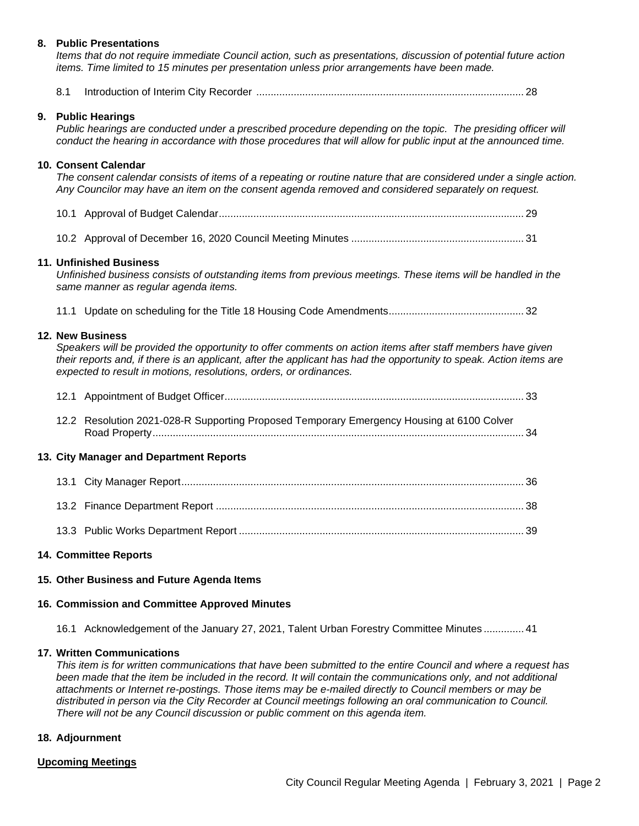### **8. Public Presentations**

*Items that do not require immediate Council action, such as presentations, discussion of potential future action items. Time limited to 15 minutes per presentation unless prior arrangements have been made.*

|--|--|--|

#### **9. Public Hearings**

*Public hearings are conducted under a prescribed procedure depending on the topic. The presiding officer will conduct the hearing in accordance with those procedures that will allow for public input at the announced time.* 

### **10. Consent Calendar**

*The consent calendar consists of items of a repeating or routine nature that are considered under a single action. Any Councilor may have an item on the consent agenda removed and considered separately on request.*

- 10.1 Approval of Budget Calendar.......................................................................................................... 29
- 10.2 Approval of December 16, 2020 Council Meeting Minutes ............................................................ 31

#### **11. Unfinished Business**

*Unfinished business consists of outstanding items from previous meetings. These items will be handled in the same manner as regular agenda items.* 

11.1 Update on scheduling for the Title 18 Housing Code Amendments............................................... 32

#### **12. New Business**

*Speakers will be provided the opportunity to offer comments on action items after staff members have given their reports and, if there is an applicant, after the applicant has had the opportunity to speak. Action items are expected to result in motions, resolutions, orders, or ordinances.*

| <b>City Manager and Department Reports</b> |                                                                                           |  |  |  |  |  |  |
|--------------------------------------------|-------------------------------------------------------------------------------------------|--|--|--|--|--|--|
|                                            | 12.2 Resolution 2021-028-R Supporting Proposed Temporary Emergency Housing at 6100 Colver |  |  |  |  |  |  |
|                                            |                                                                                           |  |  |  |  |  |  |

## **13. City Manager**

### **14. Committee Reports**

### **15. Other Business and Future Agenda Items**

### **16. Commission and Committee Approved Minutes**

16.1 Acknowledgement of the January 27, 2021, Talent Urban Forestry Committee Minutes .............. 41

### **17. Written Communications**

*This item is for written communications that have been submitted to the entire Council and where a request has*  been made that the item be included in the record. It will contain the communications only, and not additional *attachments or Internet re-postings. Those items may be e-mailed directly to Council members or may be distributed in person via the City Recorder at Council meetings following an oral communication to Council. There will not be any Council discussion or public comment on this agenda item.*

#### **18. Adjournment**

### **Upcoming Meetings**